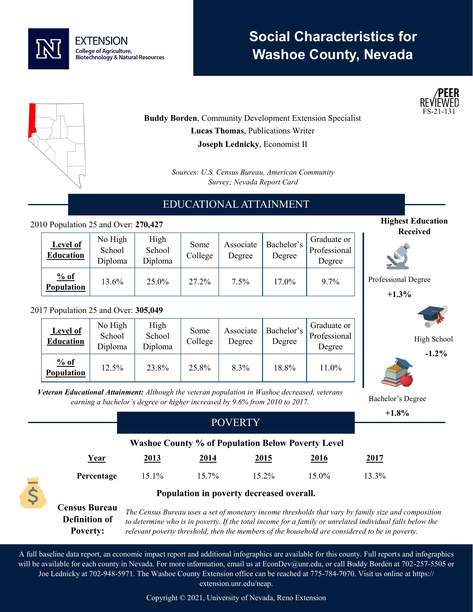

# **Social Characteristics for Washoe County, Nevada**



**Highest Education Received**

> High School **-1.2%**

Professional Degree **+1.3%**

Bachelor's Degree



**Buddy Borden**, Community Development Extension Specialist **Lucas Thomas**, Publications Writer **Joseph Lednicky**, Economist II

> *Sources: U.S. Census Bureau, American Community Survey; Nevada Report Card*

## EDUCATIONAL ATTAINMENT

#### 2010 Population 25 and Over: **270,427**

| <b>Level of</b><br><b>Education</b> | No High<br>School<br>Diploma | High<br>School<br>Diploma | Some<br>College | Associate<br>Degree | Bachelor's<br>Degree | Graduate or<br>Professional<br>Degree |
|-------------------------------------|------------------------------|---------------------------|-----------------|---------------------|----------------------|---------------------------------------|
| % of<br><b>Population</b>           | 13.6%                        | 25.0%                     | 27.2%           | $7.5\%$             | 17.0%                | $9.7\%$                               |

#### 2017 Population 25 and Over: **305,049**

| <b>Level of</b><br><b>Education</b> | No High<br>School<br>Diploma | High<br>School<br>Diploma | Some<br>College | Associate<br>Degree | Bachelor's<br>Degree | Graduate or<br>Professional<br>Degree |
|-------------------------------------|------------------------------|---------------------------|-----------------|---------------------|----------------------|---------------------------------------|
| % of<br><b>Population</b>           | 12.5%                        | 23.8%                     | 25.8%           | 8.3%                | 18.8%                | 11.0%                                 |

*Veteran Educational Attainment: Although the veteran population in Washoe decreased, veterans earning a bachelor's degree or higher increased by 9.6% from 2010 to 2017.*

|                                                                                                                                                                                                                                                                                                                                                                                      |             |                                                          |          |             | $+1.8%$ |  |  |
|--------------------------------------------------------------------------------------------------------------------------------------------------------------------------------------------------------------------------------------------------------------------------------------------------------------------------------------------------------------------------------------|-------------|----------------------------------------------------------|----------|-------------|---------|--|--|
|                                                                                                                                                                                                                                                                                                                                                                                      |             |                                                          |          |             |         |  |  |
|                                                                                                                                                                                                                                                                                                                                                                                      |             |                                                          |          |             |         |  |  |
|                                                                                                                                                                                                                                                                                                                                                                                      |             | <b>Washoe County % of Population Below Poverty Level</b> |          |             |         |  |  |
| Year                                                                                                                                                                                                                                                                                                                                                                                 | <u>2013</u> | 2014                                                     | 2015     | <u>2016</u> | 2017    |  |  |
| Percentage                                                                                                                                                                                                                                                                                                                                                                           | 15.1%       | $15.7\%$                                                 | $15.2\%$ | 15.0%       | 13.3%   |  |  |
| \$<br>Population in poverty decreased overall.                                                                                                                                                                                                                                                                                                                                       |             |                                                          |          |             |         |  |  |
| <b>Census Bureau</b><br>The Census Bureau uses a set of monetary income thresholds that vary by family size and composition<br><b>Definition of</b><br>to determine who is in poverty. If the total income for a family or unrelated individual falls below the<br><b>Poverty:</b><br>relevant poverty threshold, then the members of the household are considered to be in poverty. |             |                                                          |          |             |         |  |  |

A full baseline data report, an economic impact report and additional infographics are available for this county. Full reports and infographics will be available for each county in Nevada. For more information, email us at EconDev@unr.edu, or call Buddy Borden at 702-257-5505 or Joe Lednicky at 702-948-5971. The Washoe County Extension office can be reached at 775-784-7070. Visit us online at https:// extension.unr.edu/neap.

Copyright © 2021, University of Nevada, Reno Extension